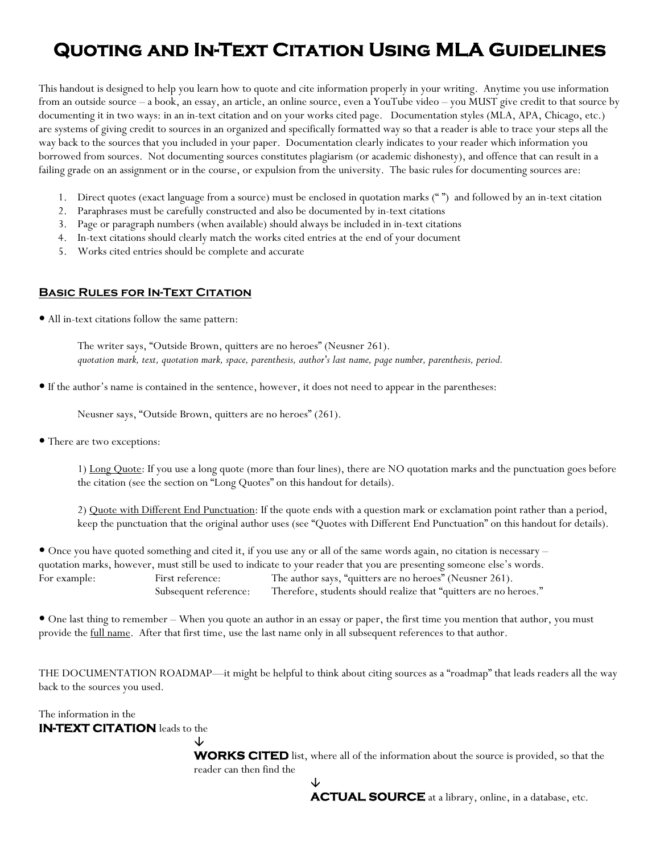## **Quoting and In-Text Citation Using MLA Guidelines**

This handout is designed to help you learn how to quote and cite information properly in your writing. Anytime you use information from an outside source – a book, an essay, an article, an online source, even a YouTube video – you MUST give credit to that source by documenting it in two ways: in an in-text citation and on your works cited page. Documentation styles (MLA, APA, Chicago, etc.) are systems of giving credit to sources in an organized and specifically formatted way so that a reader is able to trace your steps all the way back to the sources that you included in your paper. Documentation clearly indicates to your reader which information you borrowed from sources. Not documenting sources constitutes plagiarism (or academic dishonesty), and offence that can result in a failing grade on an assignment or in the course, or expulsion from the university. The basic rules for documenting sources are:

- 1. Direct quotes (exact language from a source) must be enclosed in quotation marks (" ") and followed by an in-text citation
- 2. Paraphrases must be carefully constructed and also be documented by in-text citations
- 3. Page or paragraph numbers (when available) should always be included in in-text citations
- 4. In-text citations should clearly match the works cited entries at the end of your document
- 5. Works cited entries should be complete and accurate

#### **Basic Rules for In-Text Citation**

• All in-text citations follow the same pattern:

 The writer says, "Outside Brown, quitters are no heroes" (Neusner 261).  *quotation mark, text, quotation mark, space, parenthesis, author's last name, page number, parenthesis, period.*

y If the author's name is contained in the sentence, however, it does not need to appear in the parentheses:

Neusner says, "Outside Brown, quitters are no heroes" (261).

• There are two exceptions:

1) Long Quote: If you use a long quote (more than four lines), there are NO quotation marks and the punctuation goes before the citation (see the section on "Long Quotes" on this handout for details).

2) Quote with Different End Punctuation: If the quote ends with a question mark or exclamation point rather than a period, keep the punctuation that the original author uses (see "Quotes with Different End Punctuation" on this handout for details).

• Once you have quoted something and cited it, if you use any or all of the same words again, no citation is necessary – quotation marks, however, must still be used to indicate to your reader that you are presenting someone else's words. For example: First reference: The author says, "quitters are no heroes" (Neusner 261). Subsequent reference: Therefore, students should realize that "quitters are no heroes."

• One last thing to remember – When you quote an author in an essay or paper, the first time you mention that author, you must provide the full name. After that first time, use the last name only in all subsequent references to that author.

THE DOCUMENTATION ROADMAP—it might be helpful to think about citing sources as a "roadmap" that leads readers all the way back to the sources you used.

The information in the

**IN-TEXT CITATION** leads to the

 $\downarrow$ **WORKS CITED** list, where all of the information about the source is provided, so that the reader can then find the

 $\downarrow$ 

**ACTUAL SOURCE** at a library, online, in a database, etc.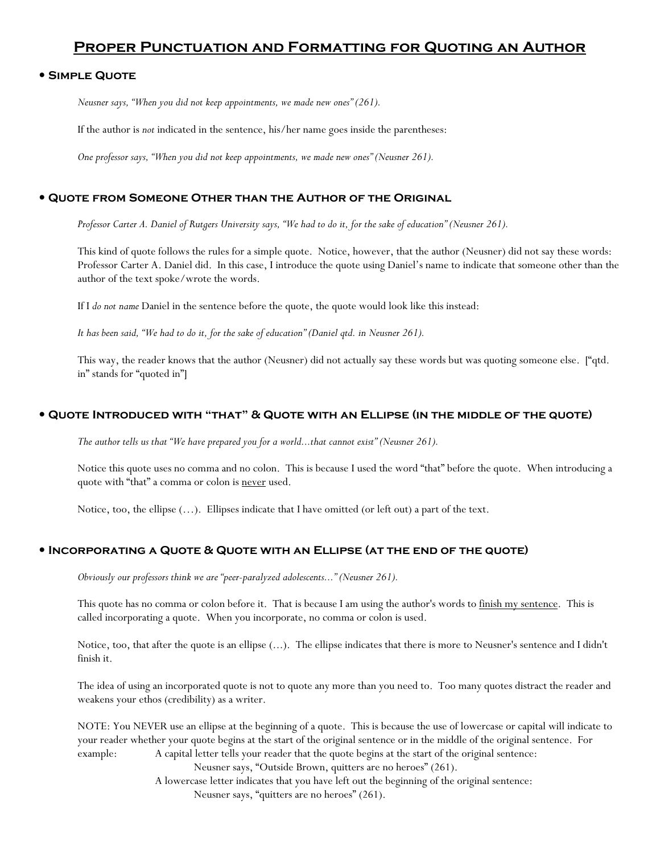### **Proper Punctuation and Formatting for Quoting an Author**

#### y **Simple Quote**

*Neusner says, "When you did not keep appointments, we made new ones" (261).* 

If the author is *not* indicated in the sentence, his/her name goes inside the parentheses:

*One professor says, "When you did not keep appointments, we made new ones" (Neusner 261).* 

#### **• QUOTE FROM SOMEONE OTHER THAN THE AUTHOR OF THE ORIGINAL**

*Professor Carter A. Daniel of Rutgers University says, "We had to do it, for the sake of education" (Neusner 261).*

This kind of quote follows the rules for a simple quote. Notice, however, that the author (Neusner) did not say these words: Professor Carter A. Daniel did. In this case, I introduce the quote using Daniel's name to indicate that someone other than the author of the text spoke/wrote the words.

If I *do not name* Daniel in the sentence before the quote, the quote would look like this instead:

*It has been said, "We had to do it, for the sake of education" (Daniel qtd. in Neusner 261).* 

This way, the reader knows that the author (Neusner) did not actually say these words but was quoting someone else. ["qtd. in" stands for "quoted in"]

#### y **Quote Introduced with "that" & Quote with an Ellipse (in the middle of the quote)**

*The author tells us that "We have prepared you for a world...that cannot exist" (Neusner 261).*

Notice this quote uses no comma and no colon. This is because I used the word "that" before the quote. When introducing a quote with "that" a comma or colon is never used.

Notice, too, the ellipse (…). Ellipses indicate that I have omitted (or left out) a part of the text.

#### y **Incorporating a Quote & Quote with an Ellipse (at the end of the quote)**

*Obviously our professors think we are "peer-paralyzed adolescents..." (Neusner 261).*

This quote has no comma or colon before it. That is because I am using the author's words to finish my sentence. This is called incorporating a quote. When you incorporate, no comma or colon is used.

Notice, too, that after the quote is an ellipse (...). The ellipse indicates that there is more to Neusner's sentence and I didn't finish it.

The idea of using an incorporated quote is not to quote any more than you need to. Too many quotes distract the reader and weakens your ethos (credibility) as a writer.

NOTE: You NEVER use an ellipse at the beginning of a quote. This is because the use of lowercase or capital will indicate to your reader whether your quote begins at the start of the original sentence or in the middle of the original sentence. For example: A capital letter tells your reader that the quote begins at the start of the original sentence:

Neusner says, "Outside Brown, quitters are no heroes" (261).

A lowercase letter indicates that you have left out the beginning of the original sentence: Neusner says, "quitters are no heroes" (261).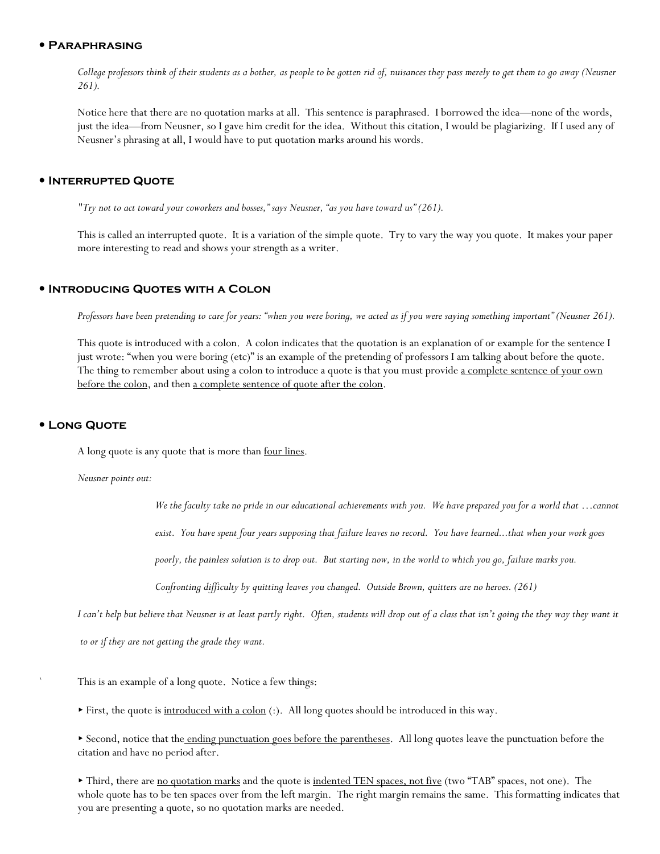#### y **Paraphrasing**

*College professors think of their students as a bother, as people to be gotten rid of, nuisances they pass merely to get them to go away (Neusner 261).*

Notice here that there are no quotation marks at all. This sentence is paraphrased. I borrowed the idea—none of the words, just the idea—from Neusner, so I gave him credit for the idea. Without this citation, I would be plagiarizing. If I used any of Neusner's phrasing at all, I would have to put quotation marks around his words.

#### y **Interrupted Quote**

*"Try not to act toward your coworkers and bosses," says Neusner, "as you have toward us" (261).* 

This is called an interrupted quote. It is a variation of the simple quote. Try to vary the way you quote. It makes your paper more interesting to read and shows your strength as a writer.

#### **• INTRODUCING QUOTES WITH A COLON**

*Professors have been pretending to care for years: "when you were boring, we acted as if you were saying something important" (Neusner 261).*

This quote is introduced with a colon. A colon indicates that the quotation is an explanation of or example for the sentence I just wrote: "when you were boring (etc)" is an example of the pretending of professors I am talking about before the quote. The thing to remember about using a colon to introduce a quote is that you must provide a complete sentence of your own before the colon, and then a complete sentence of quote after the colon.

#### y **Long Quote**

A long quote is any quote that is more than four lines.

*Neusner points out:* 

*We the faculty take no pride in our educational achievements with you. We have prepared you for a world that …cannot* 

*exist. You have spent four years supposing that failure leaves no record. You have learned...that when your work goes* 

*poorly, the painless solution is to drop out. But starting now, in the world to which you go, failure marks you.* 

*Confronting difficulty by quitting leaves you changed. Outside Brown, quitters are no heroes. (261)* 

*I can't help but believe that Neusner is at least partly right. Often, students will drop out of a class that isn't going the they way they want it* 

 *to or if they are not getting the grade they want.* 

This is an example of a long quote. Notice a few things:

First, the quote is introduced with a colon (:). All long quotes should be introduced in this way.

Second, notice that the ending punctuation goes before the parentheses. All long quotes leave the punctuation before the citation and have no period after.

Third, there are <u>no quotation marks</u> and the quote is indented TEN spaces, not five (two "TAB" spaces, not one). The whole quote has to be ten spaces over from the left margin. The right margin remains the same. This formatting indicates that you are presenting a quote, so no quotation marks are needed.